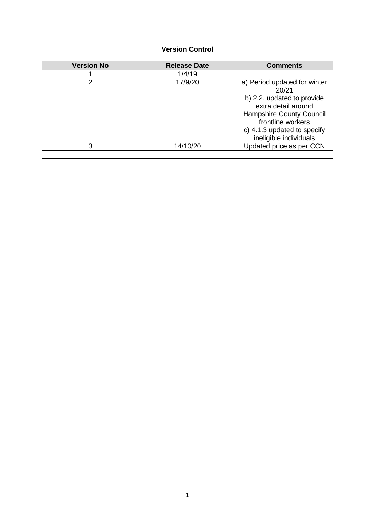# **Version Control**

| <b>Version No</b> | <b>Release Date</b> | <b>Comments</b>                                                                                                                                                                                             |
|-------------------|---------------------|-------------------------------------------------------------------------------------------------------------------------------------------------------------------------------------------------------------|
|                   | 1/4/19              |                                                                                                                                                                                                             |
| 2                 | 17/9/20             | a) Period updated for winter<br>20/21<br>b) 2.2. updated to provide<br>extra detail around<br><b>Hampshire County Council</b><br>frontline workers<br>c) 4.1.3 updated to specify<br>ineligible individuals |
| 3                 | 14/10/20            | Updated price as per CCN                                                                                                                                                                                    |
|                   |                     |                                                                                                                                                                                                             |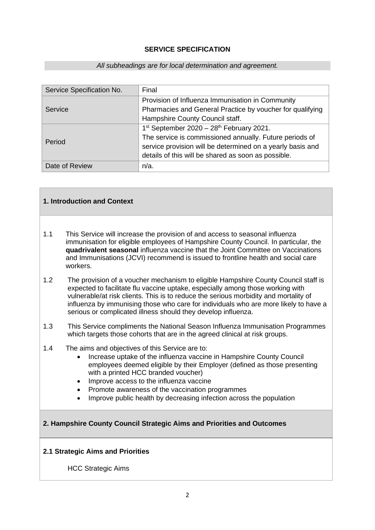### **SERVICE SPECIFICATION**

#### *All subheadings are for local determination and agreement.*

| Service Specification No. | Final                                                      |
|---------------------------|------------------------------------------------------------|
| Service                   | Provision of Influenza Immunisation in Community           |
|                           | Pharmacies and General Practice by voucher for qualifying  |
|                           | Hampshire County Council staff.                            |
| Period                    | $1st$ September 2020 - 28 <sup>th</sup> February 2021.     |
|                           | The service is commissioned annually. Future periods of    |
|                           | service provision will be determined on a yearly basis and |
|                           | details of this will be shared as soon as possible.        |
| Date of Review            | $n/a$ .                                                    |

## **1. Introduction and Context**

- 1.1 This Service will increase the provision of and access to seasonal influenza immunisation for eligible employees of Hampshire County Council. In particular, the **quadrivalent seasonal** influenza vaccine that the Joint Committee on Vaccinations and Immunisations (JCVI) recommend is issued to frontline health and social care workers.
- 1.2 The provision of a voucher mechanism to eligible Hampshire County Council staff is expected to facilitate flu vaccine uptake, especially among those working with vulnerable/at risk clients. This is to reduce the serious morbidity and mortality of influenza by immunising those who care for individuals who are more likely to have a serious or complicated illness should they develop influenza.
- 1.3 This Service compliments the National Season Influenza Immunisation Programmes which targets those cohorts that are in the agreed clinical at risk groups.
- 1.4 The aims and objectives of this Service are to:
	- Increase uptake of the influenza vaccine in Hampshire County Council employees deemed eligible by their Employer (defined as those presenting with a printed HCC branded voucher)
	- Improve access to the influenza vaccine
	- Promote awareness of the vaccination programmes
	- Improve public health by decreasing infection across the population

### **2. Hampshire County Council Strategic Aims and Priorities and Outcomes**

### **2.1 Strategic Aims and Priorities**

HCC Strategic Aims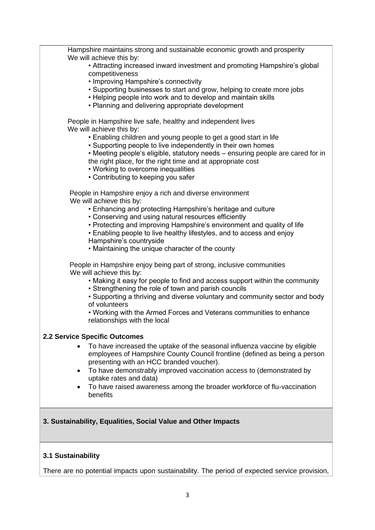| Hampshire maintains strong and sustainable economic growth and prosperity                                                                       |
|-------------------------------------------------------------------------------------------------------------------------------------------------|
| We will achieve this by:<br>• Attracting increased inward investment and promoting Hampshire's global                                           |
| competitiveness                                                                                                                                 |
| • Improving Hampshire's connectivity<br>• Supporting businesses to start and grow, helping to create more jobs                                  |
| • Helping people into work and to develop and maintain skills                                                                                   |
| • Planning and delivering appropriate development                                                                                               |
| People in Hampshire live safe, healthy and independent lives<br>We will achieve this by:                                                        |
| • Enabling children and young people to get a good start in life                                                                                |
| • Supporting people to live independently in their own homes                                                                                    |
| • Meeting people's eligible, statutory needs - ensuring people are cared for in<br>the right place, for the right time and at appropriate cost  |
| • Working to overcome inequalities                                                                                                              |
| • Contributing to keeping you safer                                                                                                             |
| People in Hampshire enjoy a rich and diverse environment                                                                                        |
| We will achieve this by:<br>• Enhancing and protecting Hampshire's heritage and culture                                                         |
| • Conserving and using natural resources efficiently                                                                                            |
| • Protecting and improving Hampshire's environment and quality of life<br>• Enabling people to live healthy lifestyles, and to access and enjoy |
| Hampshire's countryside                                                                                                                         |
| • Maintaining the unique character of the county                                                                                                |
| People in Hampshire enjoy being part of strong, inclusive communities                                                                           |
| We will achieve this by:<br>• Making it easy for people to find and access support within the community                                         |
| • Strengthening the role of town and parish councils                                                                                            |
| • Supporting a thriving and diverse voluntary and community sector and body<br>of volunteers                                                    |
| • Working with the Armed Forces and Veterans communities to enhance                                                                             |
| relationships with the local                                                                                                                    |
| 2.2 Service Specific Outcomes                                                                                                                   |
| To have increased the uptake of the seasonal influenza vaccine by eligible                                                                      |
| employees of Hampshire County Council frontline (defined as being a person<br>presenting with an HCC branded voucher).                          |
| To have demonstrably improved vaccination access to (demonstrated by<br>$\bullet$                                                               |
| uptake rates and data)                                                                                                                          |
| To have raised awareness among the broader workforce of flu-vaccination<br>benefits                                                             |
|                                                                                                                                                 |
| 3. Sustainability, Equalities, Social Value and Other Impacts                                                                                   |
|                                                                                                                                                 |
|                                                                                                                                                 |
| 3.1 Sustainability                                                                                                                              |

There are no potential impacts upon sustainability. The period of expected service provision,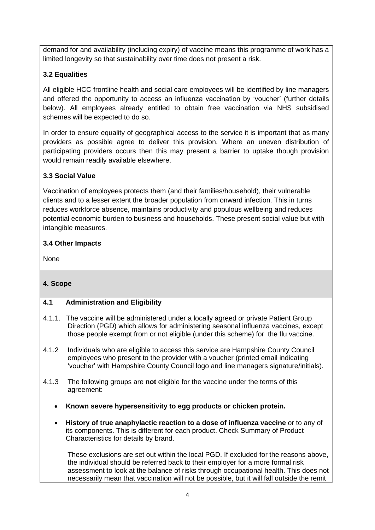demand for and availability (including expiry) of vaccine means this programme of work has a limited longevity so that sustainability over time does not present a risk.

# **3.2 Equalities**

All eligible HCC frontline health and social care employees will be identified by line managers and offered the opportunity to access an influenza vaccination by 'voucher' (further details below). All employees already entitled to obtain free vaccination via NHS subsidised schemes will be expected to do so.

In order to ensure equality of geographical access to the service it is important that as many providers as possible agree to deliver this provision. Where an uneven distribution of participating providers occurs then this may present a barrier to uptake though provision would remain readily available elsewhere.

# **3.3 Social Value**

Vaccination of employees protects them (and their families/household), their vulnerable clients and to a lesser extent the broader population from onward infection. This in turns reduces workforce absence, maintains productivity and populous wellbeing and reduces potential economic burden to business and households. These present social value but with intangible measures.

# **3.4 Other Impacts**

None

# **4. Scope**

# **4.1 Administration and Eligibility**

- 4.1.1. The vaccine will be administered under a locally agreed or private Patient Group Direction (PGD) which allows for administering seasonal influenza vaccines, except those people exempt from or not eligible (under this scheme) for the flu vaccine.
- 4.1.2 Individuals who are eligible to access this service are Hampshire County Council employees who present to the provider with a voucher (printed email indicating 'voucher' with Hampshire County Council logo and line managers signature/initials).
- 4.1.3 The following groups are **not** eligible for the vaccine under the terms of this agreement:
	- **Known severe hypersensitivity to egg products or chicken protein.**
	- **History of true anaphylactic reaction to a dose of influenza vaccine** or to any of its components. This is different for each product. Check Summary of Product Characteristics for details by brand.

These exclusions are set out within the local PGD. If excluded for the reasons above, the individual should be referred back to their employer for a more formal risk assessment to look at the balance of risks through occupational health. This does not necessarily mean that vaccination will not be possible, but it will fall outside the remit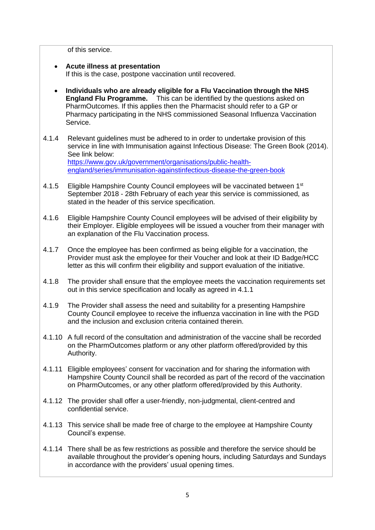of this service.

- **Acute illness at presentation** If this is the case, postpone vaccination until recovered.
- **Individuals who are already eligible for a Flu Vaccination through the NHS England Flu Programme.** This can be identified by the questions asked on PharmOutcomes. If this applies then the Pharmacist should refer to a GP or Pharmacy participating in the NHS commissioned Seasonal Influenza Vaccination Service.
- 4.1.4 Relevant guidelines must be adhered to in order to undertake provision of this service in line with Immunisation against Infectious Disease: The Green Book (2014). See link below: [https://www.gov.uk/government/organisations/public-health](https://www.gov.uk/government/organisations/public-health-england/series/immunisation-againstinfectious-disease-the-green-book)[england/series/immunisation-againstinfectious-disease-the-green-book](https://www.gov.uk/government/organisations/public-health-england/series/immunisation-againstinfectious-disease-the-green-book)
- 4.1.5 Eligible Hampshire County Council employees will be vaccinated between 1<sup>st</sup> September 2018 - 28th February of each year this service is commissioned, as stated in the header of this service specification.
- 4.1.6 Eligible Hampshire County Council employees will be advised of their eligibility by their Employer. Eligible employees will be issued a voucher from their manager with an explanation of the Flu Vaccination process.
- 4.1.7 Once the employee has been confirmed as being eligible for a vaccination, the Provider must ask the employee for their Voucher and look at their ID Badge/HCC letter as this will confirm their eligibility and support evaluation of the initiative.
- 4.1.8 The provider shall ensure that the employee meets the vaccination requirements set out in this service specification and locally as agreed in 4.1.1
- 4.1.9 The Provider shall assess the need and suitability for a presenting Hampshire County Council employee to receive the influenza vaccination in line with the PGD and the inclusion and exclusion criteria contained therein.
- 4.1.10 A full record of the consultation and administration of the vaccine shall be recorded on the PharmOutcomes platform or any other platform offered/provided by this Authority.
- 4.1.11 Eligible employees' consent for vaccination and for sharing the information with Hampshire County Council shall be recorded as part of the record of the vaccination on PharmOutcomes, or any other platform offered/provided by this Authority.
- 4.1.12 The provider shall offer a user-friendly, non-judgmental, client-centred and confidential service.
- 4.1.13 This service shall be made free of charge to the employee at Hampshire County Council's expense.
- 4.1.14 There shall be as few restrictions as possible and therefore the service should be available throughout the provider's opening hours, including Saturdays and Sundays in accordance with the providers' usual opening times.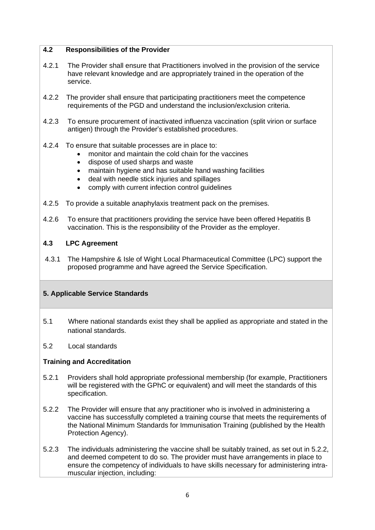### **4.2 Responsibilities of the Provider**

- 4.2.1 The Provider shall ensure that Practitioners involved in the provision of the service have relevant knowledge and are appropriately trained in the operation of the service.
- 4.2.2 The provider shall ensure that participating practitioners meet the competence requirements of the PGD and understand the inclusion/exclusion criteria.
- 4.2.3 To ensure procurement of inactivated influenza vaccination (split virion or surface antigen) through the Provider's established procedures.
- 4.2.4 To ensure that suitable processes are in place to:
	- monitor and maintain the cold chain for the vaccines
	- dispose of used sharps and waste
	- maintain hygiene and has suitable hand washing facilities
	- deal with needle stick injuries and spillages
	- comply with current infection control guidelines
- 4.2.5 To provide a suitable anaphylaxis treatment pack on the premises.
- 4.2.6 To ensure that practitioners providing the service have been offered Hepatitis B vaccination. This is the responsibility of the Provider as the employer.

### **4.3 LPC Agreement**

4.3.1 The Hampshire & Isle of Wight Local Pharmaceutical Committee (LPC) support the proposed programme and have agreed the Service Specification.

### **5. Applicable Service Standards**

- 5.1 Where national standards exist they shall be applied as appropriate and stated in the national standards.
- 5.2 Local standards

# **Training and Accreditation**

- 5.2.1 Providers shall hold appropriate professional membership (for example, Practitioners will be registered with the GPhC or equivalent) and will meet the standards of this specification.
- 5.2.2 The Provider will ensure that any practitioner who is involved in administering a vaccine has successfully completed a training course that meets the requirements of the National Minimum Standards for Immunisation Training (published by the Health Protection Agency).
- 5.2.3 The individuals administering the vaccine shall be suitably trained, as set out in 5.2.2, and deemed competent to do so. The provider must have arrangements in place to ensure the competency of individuals to have skills necessary for administering intramuscular injection, including: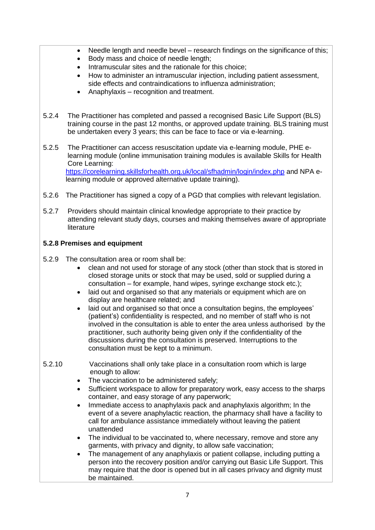- Needle length and needle bevel research findings on the significance of this;
- Body mass and choice of needle length;
- Intramuscular sites and the rationale for this choice:
- How to administer an intramuscular injection, including patient assessment, side effects and contraindications to influenza administration;
- Anaphylaxis recognition and treatment.
- 5.2.4 The Practitioner has completed and passed a recognised Basic Life Support (BLS) training course in the past 12 months, or approved update training. BLS training must be undertaken every 3 years; this can be face to face or via e-learning.
- 5.2.5 The Practitioner can access resuscitation update via e-learning module, PHE elearning module (online immunisation training modules is available Skills for Health Core Learning: <https://corelearning.skillsforhealth.org.uk/local/sfhadmin/login/index.php> and NPA elearning module or approved alternative update training).
- 5.2.6 The Practitioner has signed a copy of a PGD that complies with relevant legislation.
- 5.2.7 Providers should maintain clinical knowledge appropriate to their practice by attending relevant study days, courses and making themselves aware of appropriate literature

# **5.2.8 Premises and equipment**

- 5.2.9 The consultation area or room shall be:
	- clean and not used for storage of any stock (other than stock that is stored in closed storage units or stock that may be used, sold or supplied during a consultation – for example, hand wipes, syringe exchange stock etc.);
	- laid out and organised so that any materials or equipment which are on display are healthcare related; and
	- laid out and organised so that once a consultation begins, the employees' (patient's) confidentiality is respected, and no member of staff who is not involved in the consultation is able to enter the area unless authorised by the practitioner, such authority being given only if the confidentiality of the discussions during the consultation is preserved. Interruptions to the consultation must be kept to a minimum.
- 5.2.10 Vaccinations shall only take place in a consultation room which is large enough to allow:
	- The vaccination to be administered safely;
	- Sufficient workspace to allow for preparatory work, easy access to the sharps container, and easy storage of any paperwork;
	- Immediate access to anaphylaxis pack and anaphylaxis algorithm; In the event of a severe anaphylactic reaction, the pharmacy shall have a facility to call for ambulance assistance immediately without leaving the patient unattended
	- The individual to be vaccinated to, where necessary, remove and store any garments, with privacy and dignity, to allow safe vaccination;
	- The management of any anaphylaxis or patient collapse, including putting a person into the recovery position and/or carrying out Basic Life Support. This may require that the door is opened but in all cases privacy and dignity must be maintained.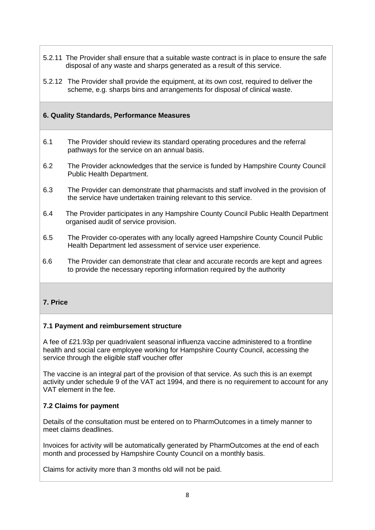- 5.2.11 The Provider shall ensure that a suitable waste contract is in place to ensure the safe disposal of any waste and sharps generated as a result of this service.
- 5.2.12 The Provider shall provide the equipment, at its own cost, required to deliver the scheme, e.g. sharps bins and arrangements for disposal of clinical waste.

# **6. Quality Standards, Performance Measures**

- 6.1 The Provider should review its standard operating procedures and the referral pathways for the service on an annual basis.
- 6.2 The Provider acknowledges that the service is funded by Hampshire County Council Public Health Department.
- 6.3 The Provider can demonstrate that pharmacists and staff involved in the provision of the service have undertaken training relevant to this service.
- 6.4 The Provider participates in any Hampshire County Council Public Health Department organised audit of service provision.
- 6.5 The Provider co-operates with any locally agreed Hampshire County Council Public Health Department led assessment of service user experience.
- 6.6 The Provider can demonstrate that clear and accurate records are kept and agrees to provide the necessary reporting information required by the authority

### **7. Price**

### **7.1 Payment and reimbursement structure**

A fee of £21.93p per quadrivalent seasonal influenza vaccine administered to a frontline health and social care employee working for Hampshire County Council, accessing the service through the eligible staff voucher offer

The vaccine is an integral part of the provision of that service. As such this is an exempt activity under schedule 9 of the VAT act 1994, and there is no requirement to account for any VAT element in the fee.

### **7.2 Claims for payment**

Details of the consultation must be entered on to PharmOutcomes in a timely manner to meet claims deadlines.

Invoices for activity will be automatically generated by PharmOutcomes at the end of each month and processed by Hampshire County Council on a monthly basis.

Claims for activity more than 3 months old will not be paid.